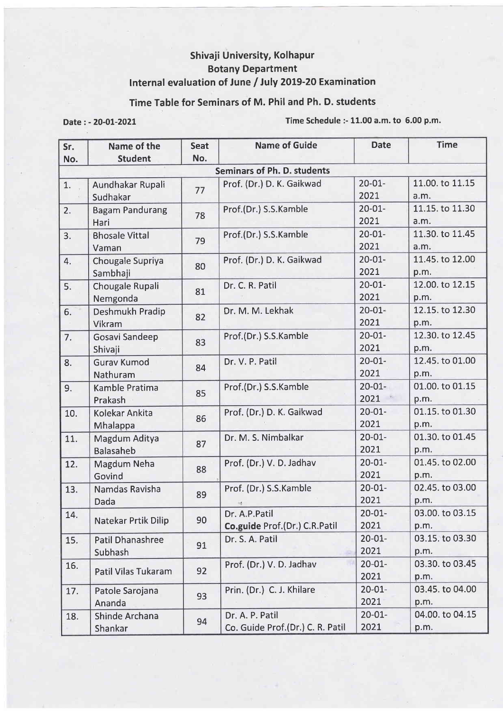## Shivaji University, Kolhapur Botany Department Internal evaluation of June / July 2019-20 Examination

## Time Table for Seminars of M. Phil and Ph. D. students

Date : - 2O-OL-2O21 Time Schedule :- 11.00 a.m. to 6.00 p.m.

| Sr.                                | Name of the                        | <b>Seat</b> | <b>Name of Guide</b>                                | <b>Date</b>         | <b>Time</b>             |  |  |
|------------------------------------|------------------------------------|-------------|-----------------------------------------------------|---------------------|-------------------------|--|--|
| No.                                | <b>Student</b>                     | No.         |                                                     |                     |                         |  |  |
| <b>Seminars of Ph. D. students</b> |                                    |             |                                                     |                     |                         |  |  |
| 1.                                 | Aundhakar Rupali<br>Sudhakar       | 77          | Prof. (Dr.) D. K. Gaikwad                           | $20 - 01 -$<br>2021 | 11.00. to 11.15<br>a.m. |  |  |
| 2.                                 | <b>Bagam Pandurang</b><br>Hari     | 78          | Prof.(Dr.) S.S.Kamble                               | $20 - 01 -$<br>2021 | 11.15. to 11.30<br>a.m. |  |  |
| 3.                                 | <b>Bhosale Vittal</b><br>Vaman     | 79          | Prof.(Dr.) S.S.Kamble                               | $20 - 01 -$<br>2021 | 11.30. to 11.45<br>a.m. |  |  |
| 4.                                 | Chougale Supriya<br>Sambhaji       | 80          | Prof. (Dr.) D. K. Gaikwad                           | $20 - 01 -$<br>2021 | 11.45. to 12.00<br>p.m. |  |  |
| 5.                                 | Chougale Rupali<br>Nemgonda        | 81          | Dr. C. R. Patil                                     | $20 - 01 -$<br>2021 | 12.00. to 12.15<br>p.m. |  |  |
| 6.                                 | Deshmukh Pradip<br>Vikram          | 82          | Dr. M. M. Lekhak                                    | $20 - 01 -$<br>2021 | 12.15. to 12.30<br>p.m. |  |  |
| 7.                                 | <b>Gosavi Sandeep</b><br>Shivaji   | 83          | Prof.(Dr.) S.S.Kamble                               | $20 - 01 -$<br>2021 | 12.30. to 12.45<br>p.m. |  |  |
| 8.                                 | <b>Gurav Kumod</b><br>Nathuram     | 84          | Dr. V. P. Patil                                     | $20 - 01 -$<br>2021 | 12.45. to 01.00<br>p.m. |  |  |
| 9.                                 | Kamble Pratima<br>Prakash          | 85          | Prof.(Dr.) S.S.Kamble                               | $20 - 01 -$<br>2021 | 01.00. to 01.15<br>p.m. |  |  |
| 10.                                | Kolekar Ankita<br>Mhalappa         | 86          | Prof. (Dr.) D. K. Gaikwad                           | $20 - 01 -$<br>2021 | 01.15. to 01.30<br>p.m. |  |  |
| 11.                                | Magdum Aditya<br><b>Balasaheb</b>  | 87          | Dr. M. S. Nimbalkar                                 | $20 - 01 -$<br>2021 | 01.30. to 01.45<br>p.m. |  |  |
| 12.                                | Magdum Neha<br>Govind              | 88          | Prof. (Dr.) V. D. Jadhav                            | $20 - 01 -$<br>2021 | 01.45. to 02.00<br>p.m. |  |  |
| 13.                                | Namdas Ravisha<br>Dada             | 89          | Prof. (Dr.) S.S.Kamble                              | $20 - 01 -$<br>2021 | 02.45, to 03.00<br>p.m. |  |  |
| 14.                                | <b>Natekar Prtik Dilip</b>         | 90          | Dr. A.P.Patil<br>Co.guide Prof.(Dr.) C.R.Patil      | $20 - 01 -$<br>2021 | 03.00. to 03.15<br>p.m. |  |  |
| 15.                                | Patil Dhanashree<br><b>Subhash</b> | 91          | Dr. S. A. Patil                                     | $20 - 01 -$<br>2021 | 03.15. to 03.30<br>p.m. |  |  |
| 16.                                | Patil Vilas Tukaram                | 92          | Prof. (Dr.) V. D. Jadhav                            | $20 - 01 -$<br>2021 | 03.30. to 03.45<br>p.m. |  |  |
| 17.                                | Patole Sarojana<br>Ananda          | 93          | Prin. (Dr.) C. J. Khilare                           | $20 - 01 -$<br>2021 | 03.45. to 04.00<br>p.m. |  |  |
| 18.                                | Shinde Archana<br>Shankar          | 94          | Dr. A. P. Patil<br>Co. Guide Prof.(Dr.) C. R. Patil | $20 - 01 -$<br>2021 | 04.00. to 04.15<br>p.m. |  |  |